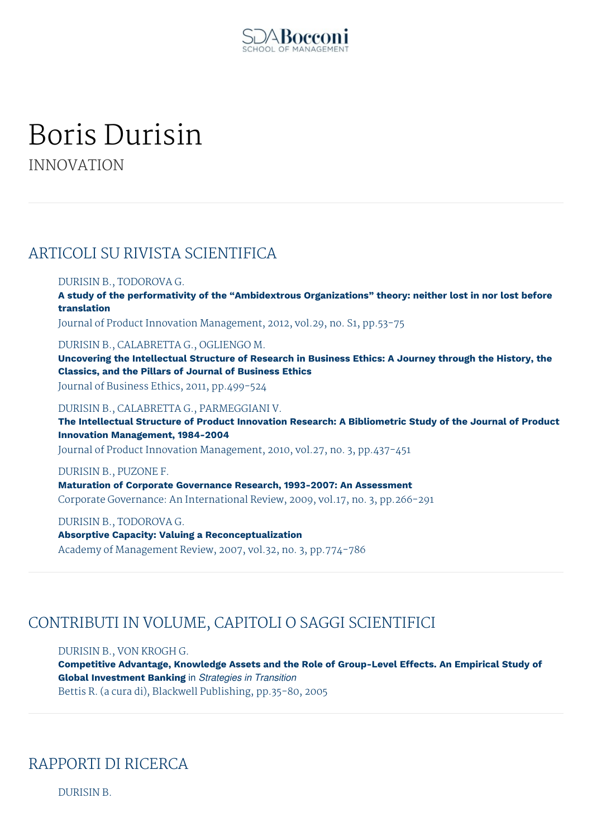

# Boris Durisin

INNOVATION

### ARTICOLI SU RIVISTA SCIENTIFICA

#### DURISIN B., TODOROVA G.

**A study of the performativity of the "Ambidextrous Organizations" theory: neither lost in nor lost before translation**

Journal of Product Innovation Management, 2012, vol.29, no. S1, pp.53-75

DURISIN B., CALABRETTA G., OGLIENGO M.

**Uncovering the Intellectual Structure of Research in Business Ethics: A Journey through the History, the Classics, and the Pillars of Journal of Business Ethics**

Journal of Business Ethics, 2011, pp.499-524

DURISIN B., CALABRETTA G., PARMEGGIANI V.

**The Intellectual Structure of Product Innovation Research: A Bibliometric Study of the Journal of Product Innovation Management, 1984-2004**

Journal of Product Innovation Management, 2010, vol.27, no. 3, pp.437-451

DURISIN B., PUZONE F. **Maturation of Corporate Governance Research, 1993-2007: An Assessment** Corporate Governance: An International Review, 2009, vol.17, no. 3, pp.266-291

DURISIN B., TODOROVA G. **Absorptive Capacity: Valuing a Reconceptualization** Academy of Management Review, 2007, vol.32, no. 3, pp.774-786

## CONTRIBUTI IN VOLUME, CAPITOLI O SAGGI SCIENTIFICI

DURISIN B., VON KROGH G.

**Competitive Advantage, Knowledge Assets and the Role of Group-Level Effects. An Empirical Study of Global Investment Banking** in *Strategies in Transition* Bettis R. (a cura di), Blackwell Publishing, pp.35-80, 2005

## RAPPORTI DI RICERCA

DURISIN B.